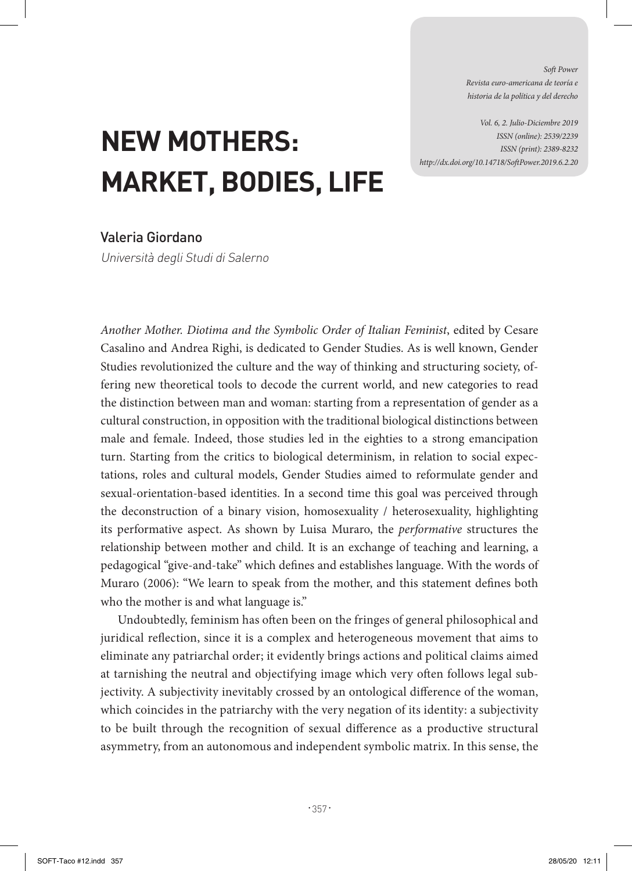*Soft Power Revista euro-americana de teoría e historia de la política y del derecho* 

*Vol. 6, 2. Julio-Diciembre 2019 ISSN (online): 2539/2239 ISSN (print): 2389-8232 http://dx.doi.org/10.14718/SoftPower.2019.6.2.20*

## **NEW MOTHERS: MARKET, BODIES, LIFE**

## Valeria Giordano

Università degli Studi di Salerno

*Another Mother. Diotima and the Symbolic Order of Italian Feminist*, edited by Cesare Casalino and Andrea Righi, is dedicated to Gender Studies. As is well known, Gender Studies revolutionized the culture and the way of thinking and structuring society, offering new theoretical tools to decode the current world, and new categories to read the distinction between man and woman: starting from a representation of gender as a cultural construction, in opposition with the traditional biological distinctions between male and female. Indeed, those studies led in the eighties to a strong emancipation turn. Starting from the critics to biological determinism, in relation to social expectations, roles and cultural models, Gender Studies aimed to reformulate gender and sexual-orientation-based identities. In a second time this goal was perceived through the deconstruction of a binary vision, homosexuality / heterosexuality, highlighting its performative aspect. As shown by Luisa Muraro, the *performative* structures the relationship between mother and child. It is an exchange of teaching and learning, a pedagogical "give-and-take" which defines and establishes language. With the words of Muraro (2006): "We learn to speak from the mother, and this statement defines both who the mother is and what language is."

Undoubtedly, feminism has often been on the fringes of general philosophical and juridical reflection, since it is a complex and heterogeneous movement that aims to eliminate any patriarchal order; it evidently brings actions and political claims aimed at tarnishing the neutral and objectifying image which very often follows legal subjectivity. A subjectivity inevitably crossed by an ontological difference of the woman, which coincides in the patriarchy with the very negation of its identity: a subjectivity to be built through the recognition of sexual difference as a productive structural asymmetry, from an autonomous and independent symbolic matrix. In this sense, the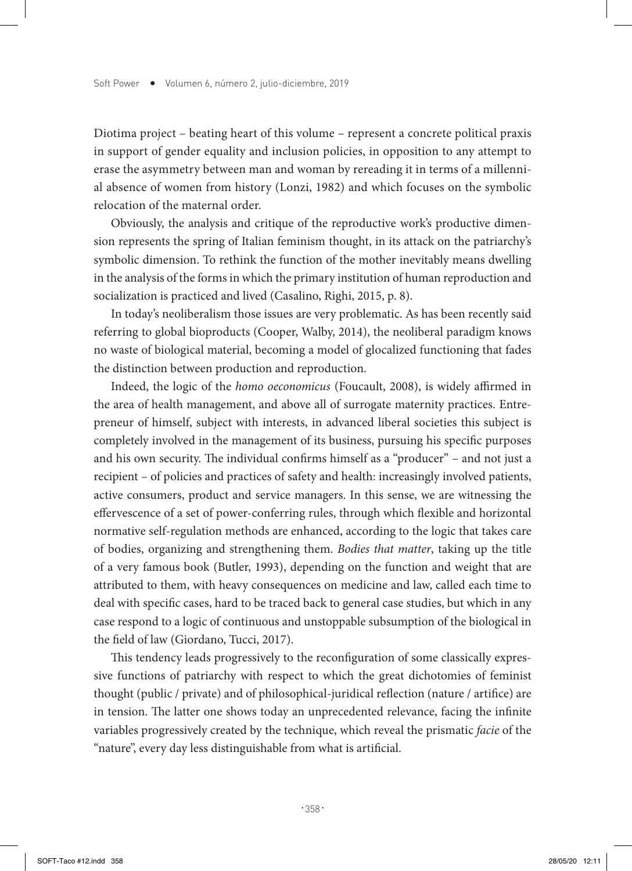Diotima project – beating heart of this volume – represent a concrete political praxis in support of gender equality and inclusion policies, in opposition to any attempt to erase the asymmetry between man and woman by rereading it in terms of a millennial absence of women from history (Lonzi, 1982) and which focuses on the symbolic relocation of the maternal order.

Obviously, the analysis and critique of the reproductive work's productive dimension represents the spring of Italian feminism thought, in its attack on the patriarchy's symbolic dimension. To rethink the function of the mother inevitably means dwelling in the analysis of the forms in which the primary institution of human reproduction and socialization is practiced and lived (Casalino, Righi, 2015, p. 8).

In today's neoliberalism those issues are very problematic. As has been recently said referring to global bioproducts (Cooper, Walby, 2014), the neoliberal paradigm knows no waste of biological material, becoming a model of glocalized functioning that fades the distinction between production and reproduction.

Indeed, the logic of the *homo oeconomicus* (Foucault, 2008), is widely affirmed in the area of health management, and above all of surrogate maternity practices. Entrepreneur of himself, subject with interests, in advanced liberal societies this subject is completely involved in the management of its business, pursuing his specific purposes and his own security. The individual confirms himself as a "producer" – and not just a recipient – of policies and practices of safety and health: increasingly involved patients, active consumers, product and service managers. In this sense, we are witnessing the effervescence of a set of power-conferring rules, through which flexible and horizontal normative self-regulation methods are enhanced, according to the logic that takes care of bodies, organizing and strengthening them. *Bodies that matter*, taking up the title of a very famous book (Butler, 1993), depending on the function and weight that are attributed to them, with heavy consequences on medicine and law, called each time to deal with specific cases, hard to be traced back to general case studies, but which in any case respond to a logic of continuous and unstoppable subsumption of the biological in the field of law (Giordano, Tucci, 2017).

This tendency leads progressively to the reconfiguration of some classically expressive functions of patriarchy with respect to which the great dichotomies of feminist thought (public / private) and of philosophical-juridical reflection (nature / artifice) are in tension. The latter one shows today an unprecedented relevance, facing the infinite variables progressively created by the technique, which reveal the prismatic *facie* of the "nature", every day less distinguishable from what is artificial.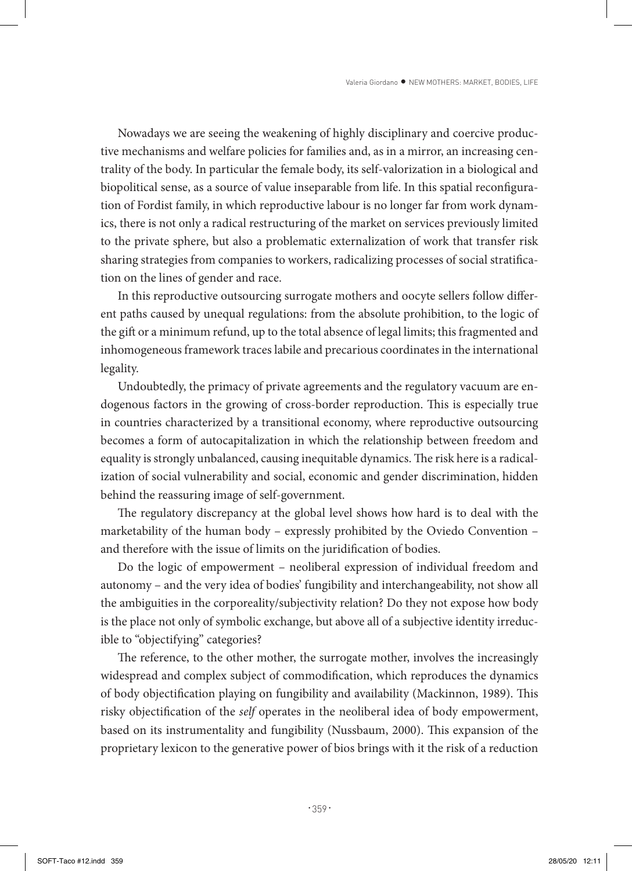Nowadays we are seeing the weakening of highly disciplinary and coercive productive mechanisms and welfare policies for families and, as in a mirror, an increasing centrality of the body. In particular the female body, its self-valorization in a biological and biopolitical sense, as a source of value inseparable from life. In this spatial reconfiguration of Fordist family, in which reproductive labour is no longer far from work dynamics, there is not only a radical restructuring of the market on services previously limited to the private sphere, but also a problematic externalization of work that transfer risk sharing strategies from companies to workers, radicalizing processes of social stratification on the lines of gender and race.

In this reproductive outsourcing surrogate mothers and oocyte sellers follow different paths caused by unequal regulations: from the absolute prohibition, to the logic of the gift or a minimum refund, up to the total absence of legal limits; this fragmented and inhomogeneous framework traces labile and precarious coordinates in the international legality.

Undoubtedly, the primacy of private agreements and the regulatory vacuum are endogenous factors in the growing of cross-border reproduction. This is especially true in countries characterized by a transitional economy, where reproductive outsourcing becomes a form of autocapitalization in which the relationship between freedom and equality is strongly unbalanced, causing inequitable dynamics. The risk here is a radicalization of social vulnerability and social, economic and gender discrimination, hidden behind the reassuring image of self-government.

The regulatory discrepancy at the global level shows how hard is to deal with the marketability of the human body – expressly prohibited by the Oviedo Convention – and therefore with the issue of limits on the juridification of bodies.

Do the logic of empowerment – neoliberal expression of individual freedom and autonomy – and the very idea of bodies' fungibility and interchangeability, not show all the ambiguities in the corporeality/subjectivity relation? Do they not expose how body is the place not only of symbolic exchange, but above all of a subjective identity irreducible to "objectifying" categories?

The reference, to the other mother, the surrogate mother, involves the increasingly widespread and complex subject of commodification, which reproduces the dynamics of body objectification playing on fungibility and availability (Mackinnon, 1989). This risky objectification of the *self* operates in the neoliberal idea of body empowerment, based on its instrumentality and fungibility (Nussbaum, 2000). This expansion of the proprietary lexicon to the generative power of bios brings with it the risk of a reduction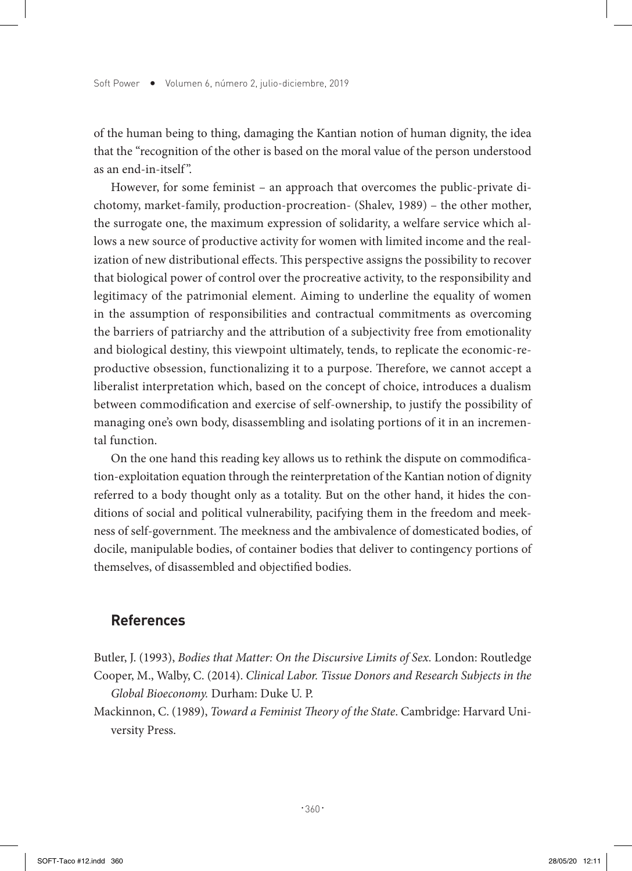of the human being to thing, damaging the Kantian notion of human dignity, the idea that the "recognition of the other is based on the moral value of the person understood as an end-in-itself ".

However, for some feminist – an approach that overcomes the public-private dichotomy, market-family, production-procreation- (Shalev, 1989) – the other mother, the surrogate one, the maximum expression of solidarity, a welfare service which allows a new source of productive activity for women with limited income and the realization of new distributional effects. This perspective assigns the possibility to recover that biological power of control over the procreative activity, to the responsibility and legitimacy of the patrimonial element. Aiming to underline the equality of women in the assumption of responsibilities and contractual commitments as overcoming the barriers of patriarchy and the attribution of a subjectivity free from emotionality and biological destiny, this viewpoint ultimately, tends, to replicate the economic-reproductive obsession, functionalizing it to a purpose. Therefore, we cannot accept a liberalist interpretation which, based on the concept of choice, introduces a dualism between commodification and exercise of self-ownership, to justify the possibility of managing one's own body, disassembling and isolating portions of it in an incremental function.

On the one hand this reading key allows us to rethink the dispute on commodification-exploitation equation through the reinterpretation of the Kantian notion of dignity referred to a body thought only as a totality. But on the other hand, it hides the conditions of social and political vulnerability, pacifying them in the freedom and meekness of self-government. The meekness and the ambivalence of domesticated bodies, of docile, manipulable bodies, of container bodies that deliver to contingency portions of themselves, of disassembled and objectified bodies.

## **References**

- Butler, J. (1993), *Bodies that Matter: On the Discursive Limits of Sex.* London: Routledge Cooper, M., Walby, C. (2014). *Clinical Labor. Tissue Donors and Research Subjects in the Global Bioeconomy.* Durham: Duke U. P.
- Mackinnon, C. (1989), *Toward a Feminist Theory of the State*. Cambridge: Harvard University Press.